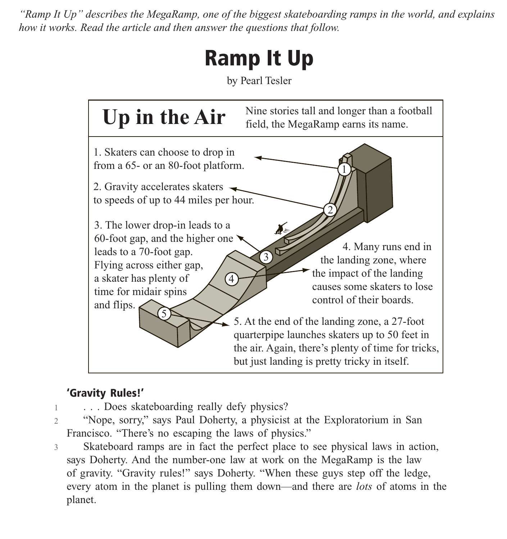*"Ramp It Up" describes the MegaRamp, one of the biggest skateboarding ramps in the world, and explains how it works. Read the article and then answer the questions that follow.*

# **Ramp It Up**

by Pearl Tesler



## **'Gravity Rules!'**

- 1 . . . Does skateboarding really defy physics?
- 2 "Nope, sorry," says Paul Doherty, a physicist at the Exploratorium in San Francisco. "There's no escaping the laws of physics."
- 3 Skateboard ramps are in fact the perfect place to see physical laws in action, says Doherty. And the number-one law at work on the MegaRamp is the law of gravity. "Gravity rules!" says Doherty. "When these guys step off the ledge, every atom in the planet is pulling them down—and there are *lots* of atoms in the planet.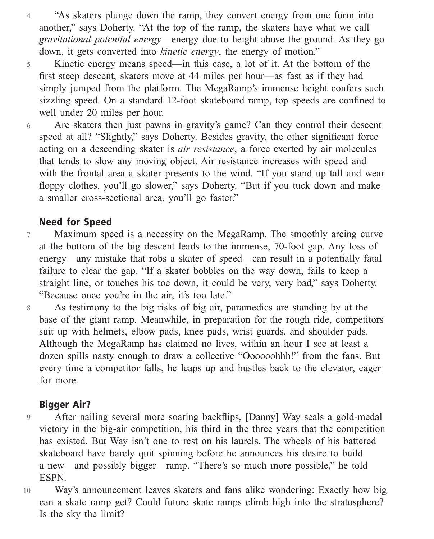4 "As skaters plunge down the ramp, they convert energy from one form into another," says Doherty. "At the top of the ramp, the skaters have what we call *gravitational potential energy*—energy due to height above the ground. As they go down, it gets converted into *kinetic energy*, the energy of motion."

5 Kinetic energy means speed—in this case, a lot of it. At the bottom of the first steep descent, skaters move at 44 miles per hour—as fast as if they had simply jumped from the platform. The MegaRamp's immense height confers such sizzling speed. On a standard 12-foot skateboard ramp, top speeds are confined to well under 20 miles per hour.

6 Are skaters then just pawns in gravity's game? Can they control their descent speed at all? "Slightly," says Doherty. Besides gravity, the other significant force acting on a descending skater is *air resistance*, a force exerted by air molecules that tends to slow any moving object. Air resistance increases with speed and with the frontal area a skater presents to the wind. "If you stand up tall and wear floppy clothes, you'll go slower," says Doherty. "But if you tuck down and make a smaller cross-sectional area, you'll go faster."

### **Need for Speed**

7 Maximum speed is a necessity on the MegaRamp. The smoothly arcing curve at the bottom of the big descent leads to the immense, 70-foot gap. Any loss of energy—any mistake that robs a skater of speed—can result in a potentially fatal failure to clear the gap. "If a skater bobbles on the way down, fails to keep a straight line, or touches his toe down, it could be very, very bad," says Doherty. "Because once you're in the air, it's too late."

As testimony to the big risks of big air, paramedics are standing by at the base of the giant ramp. Meanwhile, in preparation for the rough ride, competitors suit up with helmets, elbow pads, knee pads, wrist guards, and shoulder pads. Although the MegaRamp has claimed no lives, within an hour I see at least a dozen spills nasty enough to draw a collective "Oooooohhh!" from the fans. But every time a competitor falls, he leaps up and hustles back to the elevator, eager for more.

### **Bigger Air?**

8

9 After nailing several more soaring backflips, [Danny] Way seals a gold-medal victory in the big-air competition, his third in the three years that the competition has existed. But Way isn't one to rest on his laurels. The wheels of his battered skateboard have barely quit spinning before he announces his desire to build a new—and possibly bigger—ramp. "There's so much more possible," he told ESPN.

10 Way's announcement leaves skaters and fans alike wondering: Exactly how big can a skate ramp get? Could future skate ramps climb high into the stratosphere? Is the sky the limit?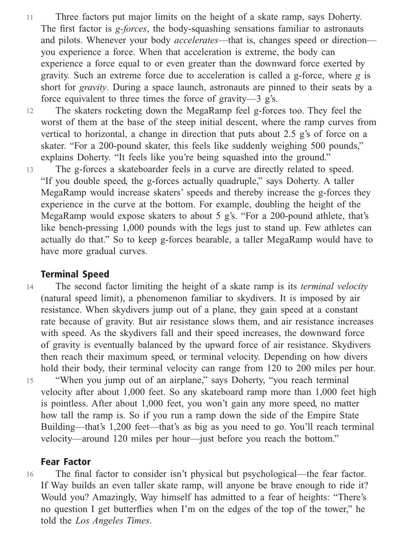11 Three factors put major limits on the height of a skate ramp, says Doherty. The first factor is *g-forces*, the body-squashing sensations familiar to astronauts and pilots. Whenever your body *accelerates*—that is, changes speed or direction you experience a force. When that acceleration is extreme, the body can experience a force equal to or even greater than the downward force exerted by gravity. Such an extreme force due to acceleration is called a g-force, where *g* is short for *gravity*. During a space launch, astronauts are pinned to their seats by a force equivalent to three times the force of gravity—3 g's.

12 The skaters rocketing down the MegaRamp feel g-forces too. They feel the worst of them at the base of the steep initial descent, where the ramp curves from vertical to horizontal, a change in direction that puts about 2.5 g's of force on a skater. "For a 200-pound skater, this feels like suddenly weighing 500 pounds," explains Doherty. "It feels like you're being squashed into the ground."

13 The g-forces a skateboarder feels in a curve are directly related to speed. "If you double speed, the g-forces actually quadruple," says Doherty. A taller MegaRamp would increase skaters' speeds and thereby increase the g-forces they experience in the curve at the bottom. For example, doubling the height of the MegaRamp would expose skaters to about 5 g's. "For a 200-pound athlete, that's like bench-pressing 1,000 pounds with the legs just to stand up. Few athletes can actually do that." So to keep g-forces bearable, a taller MegaRamp would have to have more gradual curves.

#### **Terminal Speed**

14 15 The second factor limiting the height of a skate ramp is its *terminal velocity* (natural speed limit), a phenomenon familiar to skydivers. It is imposed by air resistance. When skydivers jump out of a plane, they gain speed at a constant rate because of gravity. But air resistance slows them, and air resistance increases with speed. As the skydivers fall and their speed increases, the downward force of gravity is eventually balanced by the upward force of air resistance. Skydivers then reach their maximum speed, or terminal velocity. Depending on how divers hold their body, their terminal velocity can range from 120 to 200 miles per hour. "When you jump out of an airplane," says Doherty, "you reach terminal

velocity after about 1,000 feet. So any skateboard ramp more than 1,000 feet high is pointless. After about 1,000 feet, you won't gain any more speed, no matter how tall the ramp is. So if you run a ramp down the side of the Empire State Building—that's 1,200 feet—that's as big as you need to go. You'll reach terminal velocity—around 120 miles per hour—just before you reach the bottom."

#### **Fear Factor**

16 The final factor to consider isn't physical but psychological—the fear factor. If Way builds an even taller skate ramp, will anyone be brave enough to ride it? Would you? Amazingly, Way himself has admitted to a fear of heights: "There's no question I get butterflies when I'm on the edges of the top of the tower," he told the *Los Angeles Times*.